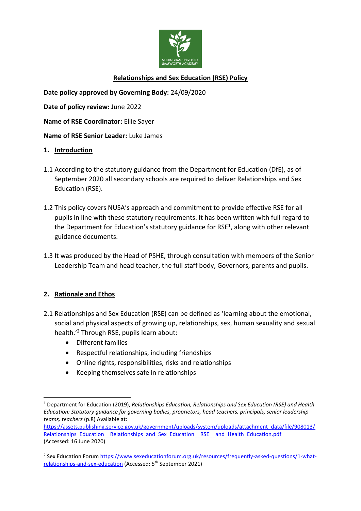

# **Relationships and Sex Education (RSE) Policy**

**Date policy approved by Governing Body:** 24/09/2020

**Date of policy review:** June 2022

**Name of RSE Coordinator:** Ellie Sayer

**Name of RSE Senior Leader:** Luke James

#### **1. Introduction**

- 1.1 According to the statutory guidance from the Department for Education (DfE), as of September 2020 all secondary schools are required to deliver Relationships and Sex Education (RSE).
- 1.2 This policy covers NUSA's approach and commitment to provide effective RSE for all pupils in line with these statutory requirements. It has been written with full regard to the Department for Education's statutory guidance for RSE<sup>1</sup>, along with other relevant guidance documents.
- 1.3 It was produced by the Head of PSHE, through consultation with members of the Senior Leadership Team and head teacher, the full staff body, Governors, parents and pupils.

### **2. Rationale and Ethos**

- 2.1 Relationships and Sex Education (RSE) can be defined as 'learning about the emotional, social and physical aspects of growing up, relationships, sex, human sexuality and sexual health.' <sup>2</sup> Through RSE, pupils learn about:
	- Different families
	- Respectful relationships, including friendships
	- Online rights, responsibilities, risks and relationships
	- Keeping themselves safe in relationships

 $\overline{a}$ <sup>1</sup> Department for Education (2019), *Relationships Education, Relationships and Sex Education (RSE) and Health Education: Statutory guidance for governing bodies, proprietors, head teachers, principals, senior leadership teams, teachers* (p.8) Available at:

[https://assets.publishing.service.gov.uk/government/uploads/system/uploads/attachment\\_data/file/908013/](https://assets.publishing.service.gov.uk/government/uploads/system/uploads/attachment_data/file/908013/Relationships_Education__Relationships_and_Sex_Education__RSE__and_Health_Education.pdf) Relationships\_Education \_\_ Relationships\_and\_Sex\_Education \_\_ RSE \_\_ and\_Health\_Education.pdf (Accessed: 16 June 2020)

<sup>&</sup>lt;sup>2</sup> Sex Education Forum <u>https://www.sexeducationforum.org.uk/resources/frequently-asked-questions/1-what-</u> [relationships-and-sex-education](https://www.sexeducationforum.org.uk/resources/frequently-asked-questions/1-what-relationships-and-sex-education) (Accessed: 5<sup>th</sup> September 2021)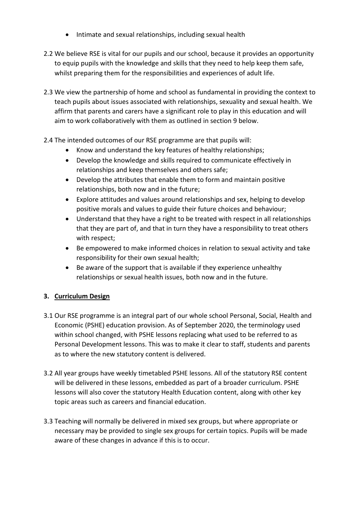- Intimate and sexual relationships, including sexual health
- 2.2 We believe RSE is vital for our pupils and our school, because it provides an opportunity to equip pupils with the knowledge and skills that they need to help keep them safe, whilst preparing them for the responsibilities and experiences of adult life.
- 2.3 We view the partnership of home and school as fundamental in providing the context to teach pupils about issues associated with relationships, sexuality and sexual health. We affirm that parents and carers have a significant role to play in this education and will aim to work collaboratively with them as outlined in section 9 below.
- 2.4 The intended outcomes of our RSE programme are that pupils will:
	- Know and understand the key features of healthy relationships;
	- Develop the knowledge and skills required to communicate effectively in relationships and keep themselves and others safe;
	- Develop the attributes that enable them to form and maintain positive relationships, both now and in the future;
	- Explore attitudes and values around relationships and sex, helping to develop positive morals and values to guide their future choices and behaviour;
	- Understand that they have a right to be treated with respect in all relationships that they are part of, and that in turn they have a responsibility to treat others with respect;
	- Be empowered to make informed choices in relation to sexual activity and take responsibility for their own sexual health;
	- Be aware of the support that is available if they experience unhealthy relationships or sexual health issues, both now and in the future.

## **3. Curriculum Design**

- 3.1 Our RSE programme is an integral part of our whole school Personal, Social, Health and Economic (PSHE) education provision. As of September 2020, the terminology used within school changed, with PSHE lessons replacing what used to be referred to as Personal Development lessons. This was to make it clear to staff, students and parents as to where the new statutory content is delivered.
- 3.2 All year groups have weekly timetabled PSHE lessons. All of the statutory RSE content will be delivered in these lessons, embedded as part of a broader curriculum. PSHE lessons will also cover the statutory Health Education content, along with other key topic areas such as careers and financial education.
- 3.3 Teaching will normally be delivered in mixed sex groups, but where appropriate or necessary may be provided to single sex groups for certain topics. Pupils will be made aware of these changes in advance if this is to occur.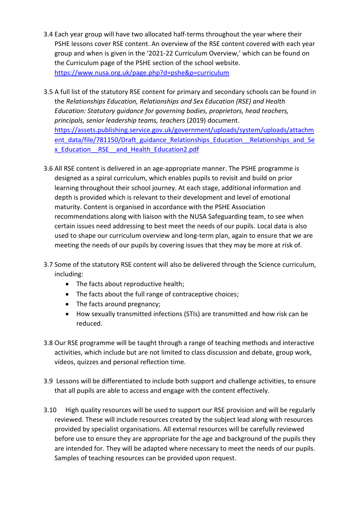- 3.4 Each year group will have two allocated half-terms throughout the year where their PSHE lessons cover RSE content. An overview of the RSE content covered with each year group and when is given in the '2021-22 Curriculum Overview,' which can be found on the Curriculum page of the PSHE section of the school website. <https://www.nusa.org.uk/page.php?d=pshe&p=curriculum>
- 3.5 A full list of the statutory RSE content for primary and secondary schools can be found in the *Relationships Education, Relationships and Sex Education (RSE) and Health Education: Statutory guidance for governing bodies, proprietors, head teachers, principals, senior leadership teams, teachers* (2019) document. [https://assets.publishing.service.gov.uk/government/uploads/system/uploads/attachm](https://assets.publishing.service.gov.uk/government/uploads/system/uploads/attachment_data/file/781150/Draft_guidance_Relationships_Education__Relationships_and_Sex_Education__RSE__and_Health_Education2.pdf) ent\_data/file/781150/Draft\_guidance\_Relationships\_Education\_Relationships\_and\_Se [x\\_Education\\_\\_RSE\\_\\_and\\_Health\\_Education2.pdf](https://assets.publishing.service.gov.uk/government/uploads/system/uploads/attachment_data/file/781150/Draft_guidance_Relationships_Education__Relationships_and_Sex_Education__RSE__and_Health_Education2.pdf)
- 3.6 All RSE content is delivered in an age-appropriate manner. The PSHE programme is designed as a spiral curriculum, which enables pupils to revisit and build on prior learning throughout their school journey. At each stage, additional information and depth is provided which is relevant to their development and level of emotional maturity. Content is organised in accordance with the PSHE Association recommendations along with liaison with the NUSA Safeguarding team, to see when certain issues need addressing to best meet the needs of our pupils. Local data is also used to shape our curriculum overview and long-term plan, again to ensure that we are meeting the needs of our pupils by covering issues that they may be more at risk of.
- 3.7 Some of the statutory RSE content will also be delivered through the Science curriculum, including:
	- The facts about reproductive health;
	- The facts about the full range of contraceptive choices;
	- The facts around pregnancy;
	- How sexually transmitted infections (STIs) are transmitted and how risk can be reduced.
- 3.8 Our RSE programme will be taught through a range of teaching methods and interactive activities, which include but are not limited to class discussion and debate, group work, videos, quizzes and personal reflection time.
- 3.9 Lessons will be differentiated to include both support and challenge activities, to ensure that all pupils are able to access and engage with the content effectively.
- 3.10 High quality resources will be used to support our RSE provision and will be regularly reviewed. These will include resources created by the subject lead along with resources provided by specialist organisations. All external resources will be carefully reviewed before use to ensure they are appropriate for the age and background of the pupils they are intended for. They will be adapted where necessary to meet the needs of our pupils. Samples of teaching resources can be provided upon request.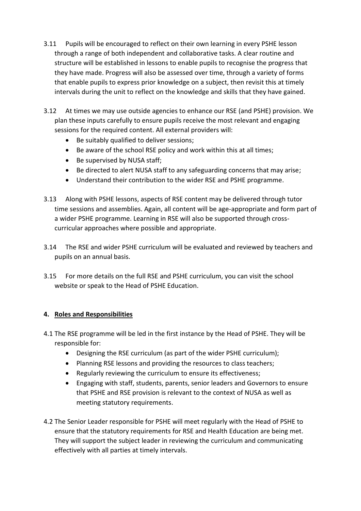- 3.11 Pupils will be encouraged to reflect on their own learning in every PSHE lesson through a range of both independent and collaborative tasks. A clear routine and structure will be established in lessons to enable pupils to recognise the progress that they have made. Progress will also be assessed over time, through a variety of forms that enable pupils to express prior knowledge on a subject, then revisit this at timely intervals during the unit to reflect on the knowledge and skills that they have gained.
- 3.12 At times we may use outside agencies to enhance our RSE (and PSHE) provision. We plan these inputs carefully to ensure pupils receive the most relevant and engaging sessions for the required content. All external providers will:
	- Be suitably qualified to deliver sessions;
	- Be aware of the school RSE policy and work within this at all times;
	- Be supervised by NUSA staff;
	- Be directed to alert NUSA staff to any safeguarding concerns that may arise;
	- Understand their contribution to the wider RSE and PSHE programme.
- 3.13 Along with PSHE lessons, aspects of RSE content may be delivered through tutor time sessions and assemblies. Again, all content will be age-appropriate and form part of a wider PSHE programme. Learning in RSE will also be supported through crosscurricular approaches where possible and appropriate.
- 3.14 The RSE and wider PSHE curriculum will be evaluated and reviewed by teachers and pupils on an annual basis.
- 3.15 For more details on the full RSE and PSHE curriculum, you can visit the school website or speak to the Head of PSHE Education.

## **4. Roles and Responsibilities**

- 4.1 The RSE programme will be led in the first instance by the Head of PSHE. They will be responsible for:
	- Designing the RSE curriculum (as part of the wider PSHE curriculum);
	- Planning RSE lessons and providing the resources to class teachers;
	- Regularly reviewing the curriculum to ensure its effectiveness;
	- Engaging with staff, students, parents, senior leaders and Governors to ensure that PSHE and RSE provision is relevant to the context of NUSA as well as meeting statutory requirements.
- 4.2 The Senior Leader responsible for PSHE will meet regularly with the Head of PSHE to ensure that the statutory requirements for RSE and Health Education are being met. They will support the subject leader in reviewing the curriculum and communicating effectively with all parties at timely intervals.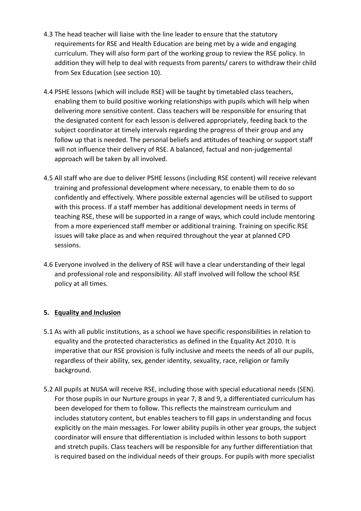- 4.3 The head teacher will liaise with the line leader to ensure that the statutory requirements for RSE and Health Education are being met by a wide and engaging curriculum. They will also form part of the working group to review the RSE policy. In addition they will help to deal with requests from parents/ carers to withdraw their child from Sex Education (see section 10).
- 4.4 PSHE lessons (which will include RSE) will be taught by timetabled class teachers, enabling them to build positive working relationships with pupils which will help when delivering more sensitive content. Class teachers will be responsible for ensuring that the designated content for each lesson is delivered appropriately, feeding back to the subject coordinator at timely intervals regarding the progress of their group and any follow up that is needed. The personal beliefs and attitudes of teaching or support staff will not influence their delivery of RSE. A balanced, factual and non-judgemental approach will be taken by all involved.
- 4.5 All staff who are due to deliver PSHE lessons (including RSE content) will receive relevant training and professional development where necessary, to enable them to do so confidently and effectively. Where possible external agencies will be utilised to support with this process. If a staff member has additional development needs in terms of teaching RSE, these will be supported in a range of ways, which could include mentoring from a more experienced staff member or additional training. Training on specific RSE issues will take place as and when required throughout the year at planned CPD sessions.
- 4.6 Everyone involved in the delivery of RSE will have a clear understanding of their legal and professional role and responsibility. All staff involved will follow the school RSE policy at all times.

### **5. Equality and Inclusion**

- 5.1 As with all public institutions, as a school we have specific responsibilities in relation to equality and the protected characteristics as defined in the Equality Act 2010. It is imperative that our RSE provision is fully inclusive and meets the needs of all our pupils, regardless of their ability, sex, gender identity, sexuality, race, religion or family background.
- 5.2 All pupils at NUSA will receive RSE, including those with special educational needs (SEN). For those pupils in our Nurture groups in year 7, 8 and 9, a differentiated curriculum has been developed for them to follow. This reflects the mainstream curriculum and includes statutory content, but enables teachers to fill gaps in understanding and focus explicitly on the main messages. For lower ability pupils in other year groups, the subject coordinator will ensure that differentiation is included within lessons to both support and stretch pupils. Class teachers will be responsible for any further differentiation that is required based on the individual needs of their groups. For pupils with more specialist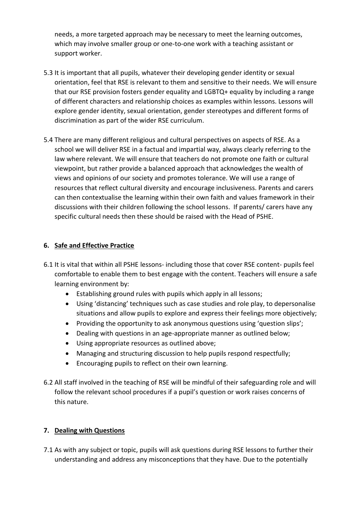needs, a more targeted approach may be necessary to meet the learning outcomes, which may involve smaller group or one-to-one work with a teaching assistant or support worker.

- 5.3 It is important that all pupils, whatever their developing gender identity or sexual orientation, feel that RSE is relevant to them and sensitive to their needs. We will ensure that our RSE provision fosters gender equality and LGBTQ+ equality by including a range of different characters and relationship choices as examples within lessons. Lessons will explore gender identity, sexual orientation, gender stereotypes and different forms of discrimination as part of the wider RSE curriculum.
- 5.4 There are many different religious and cultural perspectives on aspects of RSE. As a school we will deliver RSE in a factual and impartial way, always clearly referring to the law where relevant. We will ensure that teachers do not promote one faith or cultural viewpoint, but rather provide a balanced approach that acknowledges the wealth of views and opinions of our society and promotes tolerance. We will use a range of resources that reflect cultural diversity and encourage inclusiveness. Parents and carers can then contextualise the learning within their own faith and values framework in their discussions with their children following the school lessons. If parents/ carers have any specific cultural needs then these should be raised with the Head of PSHE.

### **6. Safe and Effective Practice**

- 6.1 It is vital that within all PSHE lessons- including those that cover RSE content- pupils feel comfortable to enable them to best engage with the content. Teachers will ensure a safe learning environment by:
	- Establishing ground rules with pupils which apply in all lessons;
	- Using 'distancing' techniques such as case studies and role play, to depersonalise situations and allow pupils to explore and express their feelings more objectively;
	- Providing the opportunity to ask anonymous questions using 'question slips';
	- Dealing with questions in an age-appropriate manner as outlined below;
	- Using appropriate resources as outlined above;
	- Managing and structuring discussion to help pupils respond respectfully;
	- Encouraging pupils to reflect on their own learning.
- 6.2 All staff involved in the teaching of RSE will be mindful of their safeguarding role and will follow the relevant school procedures if a pupil's question or work raises concerns of this nature.

### **7. Dealing with Questions**

7.1 As with any subject or topic, pupils will ask questions during RSE lessons to further their understanding and address any misconceptions that they have. Due to the potentially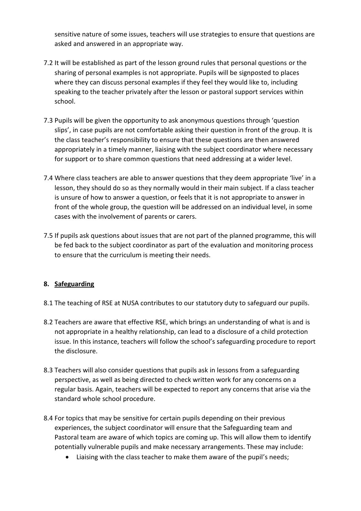sensitive nature of some issues, teachers will use strategies to ensure that questions are asked and answered in an appropriate way.

- 7.2 It will be established as part of the lesson ground rules that personal questions or the sharing of personal examples is not appropriate. Pupils will be signposted to places where they can discuss personal examples if they feel they would like to, including speaking to the teacher privately after the lesson or pastoral support services within school.
- 7.3 Pupils will be given the opportunity to ask anonymous questions through 'question slips', in case pupils are not comfortable asking their question in front of the group. It is the class teacher's responsibility to ensure that these questions are then answered appropriately in a timely manner, liaising with the subject coordinator where necessary for support or to share common questions that need addressing at a wider level.
- 7.4 Where class teachers are able to answer questions that they deem appropriate 'live' in a lesson, they should do so as they normally would in their main subject. If a class teacher is unsure of how to answer a question, or feels that it is not appropriate to answer in front of the whole group, the question will be addressed on an individual level, in some cases with the involvement of parents or carers.
- 7.5 If pupils ask questions about issues that are not part of the planned programme, this will be fed back to the subject coordinator as part of the evaluation and monitoring process to ensure that the curriculum is meeting their needs.

## **8. Safeguarding**

- 8.1 The teaching of RSE at NUSA contributes to our statutory duty to safeguard our pupils.
- 8.2 Teachers are aware that effective RSE, which brings an understanding of what is and is not appropriate in a healthy relationship, can lead to a disclosure of a child protection issue. In this instance, teachers will follow the school's safeguarding procedure to report the disclosure.
- 8.3 Teachers will also consider questions that pupils ask in lessons from a safeguarding perspective, as well as being directed to check written work for any concerns on a regular basis. Again, teachers will be expected to report any concerns that arise via the standard whole school procedure.
- 8.4 For topics that may be sensitive for certain pupils depending on their previous experiences, the subject coordinator will ensure that the Safeguarding team and Pastoral team are aware of which topics are coming up. This will allow them to identify potentially vulnerable pupils and make necessary arrangements. These may include:
	- Liaising with the class teacher to make them aware of the pupil's needs;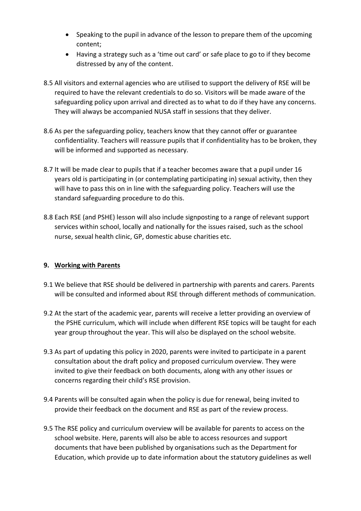- Speaking to the pupil in advance of the lesson to prepare them of the upcoming content;
- Having a strategy such as a 'time out card' or safe place to go to if they become distressed by any of the content.
- 8.5 All visitors and external agencies who are utilised to support the delivery of RSE will be required to have the relevant credentials to do so. Visitors will be made aware of the safeguarding policy upon arrival and directed as to what to do if they have any concerns. They will always be accompanied NUSA staff in sessions that they deliver.
- 8.6 As per the safeguarding policy, teachers know that they cannot offer or guarantee confidentiality. Teachers will reassure pupils that if confidentiality has to be broken, they will be informed and supported as necessary.
- 8.7 It will be made clear to pupils that if a teacher becomes aware that a pupil under 16 years old is participating in (or contemplating participating in) sexual activity, then they will have to pass this on in line with the safeguarding policy. Teachers will use the standard safeguarding procedure to do this.
- 8.8 Each RSE (and PSHE) lesson will also include signposting to a range of relevant support services within school, locally and nationally for the issues raised, such as the school nurse, sexual health clinic, GP, domestic abuse charities etc.

## **9. Working with Parents**

- 9.1 We believe that RSE should be delivered in partnership with parents and carers. Parents will be consulted and informed about RSE through different methods of communication.
- 9.2 At the start of the academic year, parents will receive a letter providing an overview of the PSHE curriculum, which will include when different RSE topics will be taught for each year group throughout the year. This will also be displayed on the school website.
- 9.3 As part of updating this policy in 2020, parents were invited to participate in a parent consultation about the draft policy and proposed curriculum overview. They were invited to give their feedback on both documents, along with any other issues or concerns regarding their child's RSE provision.
- 9.4 Parents will be consulted again when the policy is due for renewal, being invited to provide their feedback on the document and RSE as part of the review process.
- 9.5 The RSE policy and curriculum overview will be available for parents to access on the school website. Here, parents will also be able to access resources and support documents that have been published by organisations such as the Department for Education, which provide up to date information about the statutory guidelines as well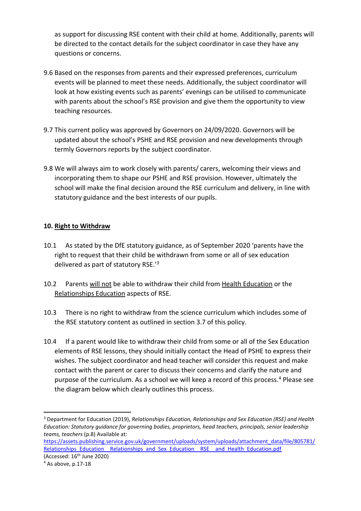as support for discussing RSE content with their child at home. Additionally, parents will be directed to the contact details for the subject coordinator in case they have any questions or concerns.

- 9.6 Based on the responses from parents and their expressed preferences, curriculum events will be planned to meet these needs. Additionally, the subject coordinator will look at how existing events such as parents' evenings can be utilised to communicate with parents about the school's RSE provision and give them the opportunity to view teaching resources.
- 9.7 This current policy was approved by Governors on 24/09/2020. Governors will be updated about the school's PSHE and RSE provision and new developments through termly Governors reports by the subject coordinator.
- 9.8 We will always aim to work closely with parents/ carers, welcoming their views and incorporating them to shape our PSHE and RSE provision. However, ultimately the school will make the final decision around the RSE curriculum and delivery, in line with statutory guidance and the best interests of our pupils.

### **10. Right to Withdraw**

- 10.1 As stated by the DfE statutory guidance, as of September 2020 'parents have the right to request that their child be withdrawn from some or all of sex education delivered as part of statutory RSE.'<sup>3</sup>
- 10.2 Parents will not be able to withdraw their child from Health Education or the Relationships Education aspects of RSE.
- 10.3 There is no right to withdraw from the science curriculum which includes some of the RSE statutory content as outlined in section 3.7 of this policy.
- 10.4 If a parent would like to withdraw their child from some or all of the Sex Education elements of RSE lessons, they should initially contact the Head of PSHE to express their wishes. The subject coordinator and head teacher will consider this request and make contact with the parent or carer to discuss their concerns and clarify the nature and purpose of the curriculum. As a school we will keep a record of this process.<sup>4</sup> Please see the diagram below which clearly outlines this process.

**.** 

<sup>3</sup> Department for Education (2019), *Relationships Education, Relationships and Sex Education (RSE) and Health Education: Statutory guidance for governing bodies, proprietors, head teachers, principals, senior leadership teams, teachers* (p.8) Available at:

[https://assets.publishing.service.gov.uk/government/uploads/system/uploads/attachment\\_data/file/805781/](https://assets.publishing.service.gov.uk/government/uploads/system/uploads/attachment_data/file/805781/Relationships_Education__Relationships_and_Sex_Education__RSE__and_Health_Education.pdf) Relationships\_Education \_\_ Relationships\_and\_Sex\_Education \_\_ RSE \_\_ and\_Health\_Education.pdf (Accessed:  $16<sup>th</sup>$  June 2020)

 $4$  As above, p.17-18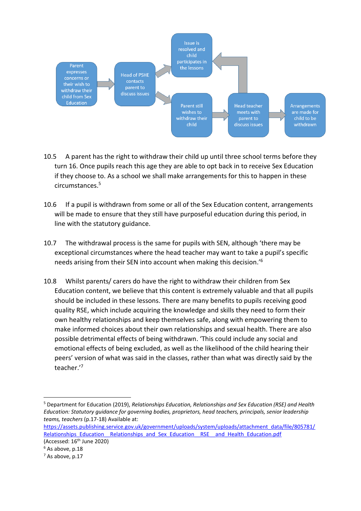

- 10.5 A parent has the right to withdraw their child up until three school terms before they turn 16. Once pupils reach this age they are able to opt back in to receive Sex Education if they choose to. As a school we shall make arrangements for this to happen in these circumstances.<sup>5</sup>
- 10.6 If a pupil is withdrawn from some or all of the Sex Education content, arrangements will be made to ensure that they still have purposeful education during this period, in line with the statutory guidance.
- 10.7 The withdrawal process is the same for pupils with SEN, although 'there may be exceptional circumstances where the head teacher may want to take a pupil's specific needs arising from their SEN into account when making this decision.'<sup>6</sup>
- 10.8 Whilst parents/ carers do have the right to withdraw their children from Sex Education content, we believe that this content is extremely valuable and that all pupils should be included in these lessons. There are many benefits to pupils receiving good quality RSE, which include acquiring the knowledge and skills they need to form their own healthy relationships and keep themselves safe, along with empowering them to make informed choices about their own relationships and sexual health. There are also possible detrimental effects of being withdrawn. 'This could include any social and emotional effects of being excluded, as well as the likelihood of the child hearing their peers' version of what was said in the classes, rather than what was directly said by the teacher.'<sup>7</sup>

 $\overline{a}$ 

<sup>5</sup> Department for Education (2019), *Relationships Education, Relationships and Sex Education (RSE) and Health Education: Statutory guidance for governing bodies, proprietors, head teachers, principals, senior leadership teams, teachers* (p.17-18) Available at:

[https://assets.publishing.service.gov.uk/government/uploads/system/uploads/attachment\\_data/file/805781/](https://assets.publishing.service.gov.uk/government/uploads/system/uploads/attachment_data/file/805781/Relationships_Education__Relationships_and_Sex_Education__RSE__and_Health_Education.pdf) Relationships\_Education \_\_ Relationships\_and\_Sex\_Education\_RSE\_\_and\_Health\_Education.pdf

<sup>(</sup>Accessed:  $16<sup>th</sup>$  June 2020)

 $6$  As above, p.18

 $<sup>7</sup>$  As above, p.17</sup>